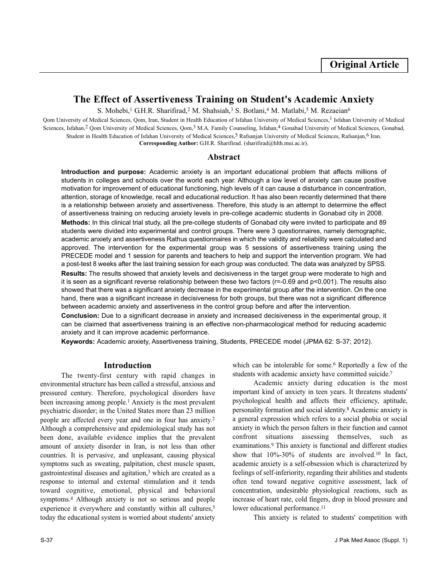# **The Effect of Assertiveness Training on Student's Academic Anxiety**

S. Mohebi,<sup>1</sup> G.H.R. Sharifirad,<sup>2</sup> M. Shahsiah,<sup>3</sup> S. Botlani,<sup>4</sup> M. Matlabi,<sup>5</sup> M. Rezaeian<sup>6</sup>

Qom University of Medical Sciences, Qom, Iran, Student in Health Education of Isfahan University of Medical Sciences,<sup>1</sup> Isfahan University of Medical Sciences, Isfahan,<sup>2</sup> Qom University of Medical Sciences, Qom,<sup>3</sup> M.A. Family Counseling, Isfahan,<sup>4</sup> Gonabad University of Medical Sciences, Gonabad, Student in Health Education of Isfahan University of Medical Sciences,<sup>5</sup> Rafsanjan University of Medical Sciences, Rafsanjan,<sup>6</sup> Iran. **Corresponding Author:** G.H.R. Sharifirad. (sharifirad@hlth.mui.ac.ir).

#### **Abstract**

**Introduction and purpose:** Academic anxiety is an important educational problem that affects millions of students in colleges and schools over the world each year. Although a low level of anxiety can cause positive motivation for improvement of educational functioning, high levels of it can cause a disturbance in concentration, attention, storage of knowledge, recall and educational reduction. It has also been recently determined that there is a relationship between anxiety and assertiveness. Therefore, this study is an attempt to determine the effect of assertiveness training on reducing anxiety levels in pre-college academic students in Gonabad city in 2008. **Methods:** In this clinical trial study, all the pre-college students of Gonabad city were invited to participate and 89 students were divided into experimental and control groups. There were 3 questionnaires, namely demographic, academic anxiety and assertiveness Rathus questionnaires in which the validity and reliability were calculated and approved. The intervention for the experimental group was 5 sessions of assertiveness training using the PRECEDE model and 1 session for parents and teachers to help and support the intervention program. We had a post-test 8 weeks after the last training session for each group was conducted. The data was analyzed by SPSS. **Results:** The results showed that anxiety levels and decisiveness in the target group were moderate to high and it is seen as a significant reverse relationship between these two factors (r=-0.69 and p<0.001). The results also showed that there was a significant anxiety decrease in the experimental group after the intervention. On the one hand, there was a significant increase in decisiveness for both groups, but there was not a significant difference between academic anxiety and assertiveness in the control group before and after the intervention.

**Conclusion:** Due to a significant decrease in anxiety and increased decisiveness in the experimental group, it can be claimed that assertiveness training is an effective non-pharmacological method for reducing academic anxiety and it can improve academic performance.

**Keywords:** Academic anxiety, Assertiveness training, Students, PRECEDE model (JPMA 62: S-37; 2012).

### **Introduction**

The twenty-first century with rapid changes in environmental structure has been called a stressful, anxious and pressured century. Therefore, psychological disorders have been increasing among people.<sup>1</sup> Anxiety is the most prevalent psychiatric disorder; in the United States more than 23 million people are affected every year and one in four has anxiety.<sup>2</sup> Although a comprehensive and epidemiological study has not been done, available evidence implies that the prevalent amount of anxiety disorder in Iran, is not less than other countries. It is pervasive, and unpleasant, causing physical symptoms such as sweating, palpitation, chest muscle spasm, gastrointestinal diseases and agitation,<sup>3</sup> which are created as a response to internal and external stimulation and it tends toward cognitive, emotional, physical and behavioral symptoms.<sup>4</sup> Although anxiety is not so serious and people experience it everywhere and constantly within all cultures,<sup>5</sup> today the educational system is worried about students' anxiety which can be intolerable for some.<sup>6</sup> Reportedly a few of the students with academic anxiety have committed suicide.<sup>7</sup>

Academic anxiety during education is the most important kind of anxiety in teen years. It threatens students' psychological health and affects their efficiency, aptitude, personality formation and social identity.<sup>8</sup> Academic anxiety is a general expression which refers to a social phobia or social anxiety in which the person falters in their function and cannot confront situations assessing themselves, such as examinations.<sup>9</sup> This anxiety is functional and different studies show that 10%-30% of students are involved.<sup>10</sup> In fact, academic anxiety is a self-obsession which is characterized by feelings of self-inferiority, regarding their abilities and students often tend toward negative cognitive assessment, lack of concentration, undesirable physiological reactions, such as increase of heart rate, cold fingers, drop in blood pressure and lower educational performance.<sup>11</sup>

This anxiety is related to students' competition with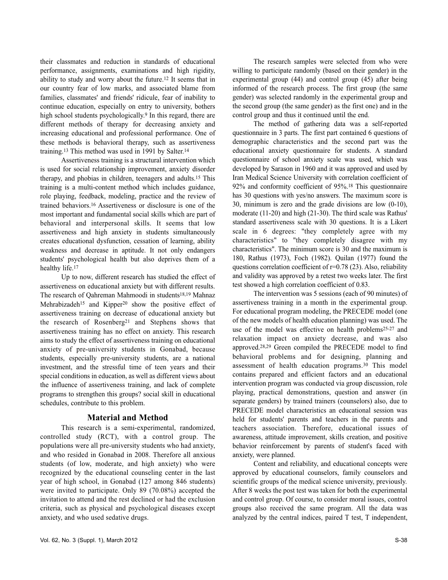their classmates and reduction in standards of educational performance, assignments, examinations and high rigidity, ability to study and worry about the future.<sup>12</sup> It seems that in our country fear of low marks, and associated blame from families, classmates' and friends' ridicule, fear of inability to continue education, especially on entry to university, bothers high school students psychologically.<sup>9</sup> In this regard, there are different methods of therapy for decreasing anxiety and increasing educational and professional performance. One of these methods is behavioral therapy, such as assertiveness training.<sup>13</sup> This method was used in 1991 by Salter.<sup>14</sup>

Assertiveness training is a structural intervention which is used for social relationship improvement, anxiety disorder therapy, and phobias in children, teenagers and adults.<sup>15</sup> This training is a multi-content method which includes guidance, role playing, feedback, modeling, practice and the review of trained behaviors.<sup>16</sup> Assertiveness or disclosure is one of the most important and fundamental social skills which are part of behavioral and interpersonal skills. It seems that low assertiveness and high anxiety in students simultaneously creates educational dysfunction, cessation of learning, ability weakness and decrease in aptitude. It not only endangers students' psychological health but also deprives them of a healthy life.<sup>17</sup>

Up to now, different research has studied the effect of assertiveness on educational anxiety but with different results. The research of Qahreman Mahmoodi in students<sup>18,19</sup> Mahnaz Mehrabizadeh<sup>15</sup> and Kipper<sup>20</sup> show the positive effect of assertiveness training on decrease of educational anxiety but the research of Rosenberg<sup>21</sup> and Stephens shows that assertiveness training has no effect on anxiety. This research aims to study the effect of assertiveness training on educational anxiety of pre-university students in Gonabad, because students, especially pre-university students, are a national investment, and the stressful time of teen years and their special conditions in education, as well as different views about the influence of assertiveness training, and lack of complete programs to strengthen this groups? social skill in educational schedules, contribute to this problem.

## **Material and Method**

This research is a semi-experimental, randomized, controlled study (RCT), with a control group. The populations were all pre-university students who had anxiety, and who resided in Gonabad in 2008. Therefore all anxious students (of low, moderate, and high anxiety) who were recognized by the educational counseling center in the last year of high school, in Gonabad (127 among 846 students) were invited to participate. Only 89 (70.08%) accepted the invitation to attend and the rest declined or had the exclusion criteria, such as physical and psychological diseases except anxiety, and who used sedative drugs.

The research samples were selected from who were willing to participate randomly (based on their gender) in the experimental group (44) and control group (45) after being informed of the research process. The first group (the same gender) was selected randomly in the experimental group and the second group (the same gender) as the first one) and in the control group and thus it continued until the end.

The method of gathering data was a self-reported questionnaire in 3 parts. The first part contained 6 questions of demographic characteristics and the second part was the educational anxiety questionnaire for students. A standard questionnaire of school anxiety scale was used, which was developed by Sarason in 1960 and it was approved and used by Iran Medical Science University with correlation coefficient of 92% and conformity coefficient of 95%.<sup>18</sup> This questionnaire has 30 questions with yes/no answers. The maximum score is 30, minimum is zero and the grade divisions are low (0-10), moderate (11-20) and high (21-30). The third scale was Rathus' standard assertiveness scale with 30 questions. It is a Likert scale in 6 degrees: "they completely agree with my characteristics" to "they completely disagree with my characteristics". The minimum score is 30 and the maximum is 180, Rathus (1973), Foch (1982). Quilan (1977) found the questions correlation coefficient of  $r=0.78$  (23). Also, reliability and validity was approved by a retest two weeks later. The first test showed a high correlation coefficient of 0.83.

The intervention was 5 sessions (each of 90 minutes) of assertiveness training in a month in the experimental group. For educational program modeling, the PRECEDE model (one of the new models of health education planning) was used. The use of the model was effective on health problems<sup>25-27</sup> and relaxation impact on anxiety decrease, and was also approved.28,29 Green compiled the PRECEDE model to find behavioral problems and for designing, planning and assessment of health education programs.<sup>30</sup> This model contains prepared and efficient factors and an educational intervention program was conducted via group discussion, role playing, practical demonstrations, question and answer (in separate genders) by trained trainers (counselors) also, due to PRECEDE model characteristics an educational session was held for students' parents and teachers in the parents and teachers association. Therefore, educational issues of awareness, attitude improvement, skills creation, and positive behavior reinforcement by parents of student's faced with anxiety, were planned.

Content and reliability, and educational concepts were approved by educational counselors, family counselors and scientific groups of the medical science university, previously. After 8 weeks the post test was taken for both the experimental and control group. Of course, to consider moral issues, control groups also received the same program. All the data was analyzed by the central indices, paired T test, T independent,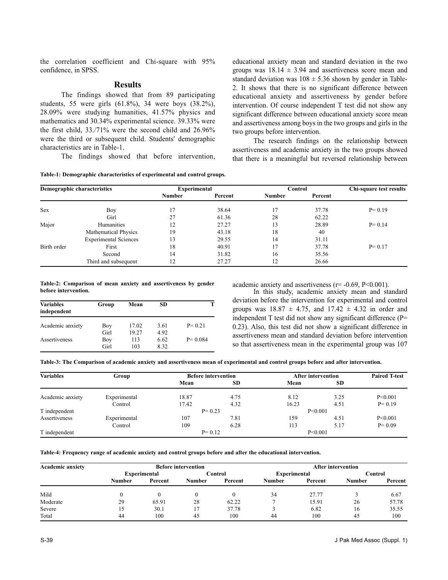the correlation coefficient and Chi-square with 95% confidence, in SPSS.

#### **Results**

The findings showed that from 89 participating students, 55 were girls (61.8%), 34 were boys (38.2%), 28.09% were studying humanities, 41.57% physics and mathematics and 30.34% experimental science. 39.33% were the first child, 33./71% were the second child and 26.96% were the third or subsequent child. Students' demographic characteristics are in Table-1.

The findings showed that before intervention,

**Table-1: Demographic characteristics of experimental and control groups.**

educational anxiety mean and standard deviation in the two groups was  $18.14 \pm 3.94$  and assertiveness score mean and standard deviation was  $108 \pm 5.36$  shown by gender in Table-2. It shows that there is no significant difference between educational anxiety and assertiveness by gender before intervention. Of course independent T test did not show any significant difference between educational anxiety score mean and assertiveness among boys in the two groups and girls in the two groups before intervention.

The research findings on the relationship between assertiveness and academic anxiety in the two groups showed that there is a meaningful but reversed relationship between

| Demographic characteristics |                              | <b>Experimental</b> |         | Control       |         | Chi-square test results |
|-----------------------------|------------------------------|---------------------|---------|---------------|---------|-------------------------|
|                             |                              | <b>Number</b>       | Percent | <b>Number</b> | Percent |                         |
| <b>Sex</b>                  | Boy                          |                     | 38.64   | 17            | 37.78   | $P = 0.19$              |
|                             | Girl                         | 27                  | 61.36   | 28            | 62.22   |                         |
| Major                       | Humanities                   | 12                  | 27.27   | 13            | 28.89   | $P = 0.14$              |
|                             | <b>Mathematical Physics</b>  | 19                  | 43.18   | 18            | 40      |                         |
|                             | <b>Experimental Sciences</b> | 13                  | 29.55   | 14            | 31.11   |                         |
| Birth order                 | First                        | 18                  | 40.91   | 17            | 37.78   | $P = 0.17$              |
|                             | Second                       | 14                  | 31.82   | 16            | 35.56   |                         |
|                             | Third and subsequent         | 12                  | 27.27   | 12            | 26.66   |                         |

**Table-2: Comparison of mean anxiety and assertiveness by gender before intervention.**

| <b>Variables</b><br>independent | Group | Mean  | SD   |             |
|---------------------------------|-------|-------|------|-------------|
| Academic anxiety                | Boy   | 17.02 | 3.61 | $P = 0.21$  |
|                                 | Girl  | 19.27 | 4.92 |             |
| Assertiveness                   | Boy   | 113   | 6.62 | $P = 0.084$ |
|                                 | Girl  | 103   | 8.32 |             |

academic anxiety and assertiveness ( $r=$  -0.69, P<0.001).

In this study, academic anxiety mean and standard deviation before the intervention for experimental and control groups was  $18.87 \pm 4.75$ , and  $17.42 \pm 4.32$  in order and independent T test did not show any significant difference (P= 0.23). Also, this test did not show a significant difference in assertiveness mean and standard deviation before intervention so that assertiveness mean in the experimental group was 107

**Table-3: The Comparison of academic anxiety and assertiveness mean of experimental and control groups before and after intervention.**

| <b>Variables</b> | Group        | <b>Before intervention</b> |            | <b>After intervention</b> |           | <b>Paired T-test</b> |  |
|------------------|--------------|----------------------------|------------|---------------------------|-----------|----------------------|--|
|                  |              | Mean                       | <b>SD</b>  | Mean                      | <b>SD</b> |                      |  |
| Academic anxiety | Experimental | 18.87                      | 4.75       | 8.12                      | 3.25      | P<0.001              |  |
|                  | Control      | 17.42                      | 4.32       | 16.23                     | 4.51      | $P = 0.19$           |  |
| T independent    |              | $P = 0.23$                 |            | P < 0.001                 |           |                      |  |
| Assertiveness    | Experimental | 107                        | 7.81       | 159                       | 4.51      | P<0.001              |  |
|                  | Control      | 109                        | 6.28       | 113                       | 5.17      | $P = 0.09$           |  |
| T independent    |              |                            | $P = 0.12$ |                           | P < 0.001 |                      |  |

**Table-4: Frequency range of academic anxiety and control groups before and after the educational intervention.**

| <b>Academic anxiety</b> | <b>Before intervention</b> |         |               |         | <b>After intervention</b> |         |               |         |
|-------------------------|----------------------------|---------|---------------|---------|---------------------------|---------|---------------|---------|
|                         | Experimental               |         | Control       |         | <b>Experimental</b>       |         | Control       |         |
|                         | Number                     | Percent | <b>Number</b> | Percent | <b>Number</b>             | Percent | <b>Number</b> | Percent |
| Mild                    |                            |         |               |         | 34                        | 27.77   |               | 6.67    |
| Moderate                | 29                         | 65.91   | 28            | 62.22   |                           | 15.91   | 26            | 57.78   |
| Severe                  | 15                         | 30.1    |               | 37.78   |                           | 6.82    | 16            | 35.55   |
| Total                   | 44                         | 100     | 45            | 100     | 44                        | 100     | 45            | 100     |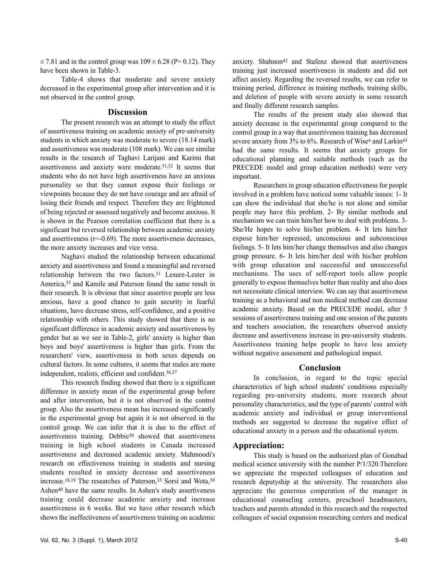$\pm$  7.81 and in the control group was  $109 \pm 6.28$  (P= 0.12). They have been shown in Table-3.

Table-4 shows that moderate and severe anxiety decreased in the experimental group after intervention and it is not observed in the control group.

#### **Discussion**

The present research was an attempt to study the effect of assertiveness training on academic anxiety of pre-university students in which anxiety was moderate to severe (18.14 mark) and assertiveness was moderate (108 mark). We can see similar results in the research of Taghavi Larijani and Karimi that assertiveness and anxiety were moderate.31,32 It seems that students who do not have high assertiveness have an anxious personality so that they cannot expose their feelings or viewpoints because they do not have courage and are afraid of losing their friends and respect. Therefore they are frightened of being rejected or assessed negatively and become anxious. It is shown in the Pearson correlation coefficient that there is a significant but reversed relationship between academic anxiety and assertiveness  $(r=0.69)$ . The more assertiveness decreases, the more anxiety increases and vice versa.

Naghavi studied the relationship between educational anxiety and assertiveness and found a meaningful and reversed relationship between the two factors.<sup>31</sup> Lesure-Lester in America,<sup>33</sup> and Kamile and Paterson found the same result in their research. It is obvious that since assertive people are less anxious, have a good chance to gain security in fearful situations, have decrease stress, self-confidence, and a positive relationship with others. This study showed that there is no significant difference in academic anxiety and assertiveness by gender but as we see in Table-2, girls' anxiety is higher than boys and boys' assertiveness is higher than girls. From the researchers' view, assertiveness in both sexes depends on cultural factors. In some cultures, it seems that males are more independent, realists, efficient and confident.36,37

This research finding showed that there is a significant difference in anxiety mean of the experimental group before and after intervention, but it is not observed in the control group. Also the assertiveness mean has increased significantly in the experimental group but again it is not observed in the control group. We can infer that it is due to the effect of assertiveness training. Debbie<sup>38</sup> showed that assertiveness training in high school students in Canada increased assertiveness and decreased academic anxiety. Mahmoodi's research on effectiveness training in students and nursing students resulted in anxiety decrease and assertiveness increase.18,19 The researches of Paterson,<sup>35</sup> Sorsi and Wota,<sup>39</sup> Ashen<sup>40</sup> have the same results. In Ashen's study assertiveness training could decrease academic anxiety and increase assertiveness in 6 weeks. But we have other research which shows the ineffectiveness of assertiveness training on academic

anxiety. Shahnon<sup>42</sup> and Stafenz showed that assertiveness training just increased assertiveness in students and did not affect anxiety. Regarding the reversed results, we can refer to training period, difference in training methods, training skills, and deletion of people with severe anxiety in some research and finally different research samples.

The results of the present study also showed that anxiety decrease in the experimental group compared to the control group in a way that assertiveness training has decreased severe anxiety from 3% to 6%. Research of Wise<sup>4</sup> and Larkin<sup>43</sup> had the same results. It seems that anxiety groups for educational planning and suitable methods (such as the PRECEDE model and group education methods) were very important.

Researchers in group education effectiveness for people involved in a problem have noticed some valuable issues: 1- It can show the individual that she/he is not alone and similar people may have this problem. 2- By similar methods and mechanism we can train him/her how to deal with problems. 3- She/He hopes to solve his/her problem. 4- It lets him/her expose him/her repressed, unconscious and subconscious feelings. 5- It lets him/her change themselves and also changes group pressure. 6- It lets him/her deal with his/her problem with group education and successful and unsuccessful mechanisms. The uses of self-report tools allow people generally to expose themselves better than reality and also does not necessitate clinical interview. We can say that assertiveness training as a behavioral and non medical method can decrease academic anxiety. Based on the PRECEDE model, after 5 sessions of assertiveness training and one session of the parents and teachers association, the researchers observed anxiety decrease and assertiveness increase in pre-university students. Assertiveness training helps people to have less anxiety without negative assessment and pathological impact.

#### **Conclusion**

In conclusion, in regard to the topic special characteristics of high school students' conditions especially regarding pre-university students, more research about personality characteristics, and the type of parents' control with academic anxiety and individual or group interventional methods are suggested to decrease the negative effect of educational anxiety in a person and the educational system.

### **Appreciation:**

This study is based on the authorized plan of Gonabad medical science university with the number P/1/320.Therefore we appreciate the respected colleagues of education and research deputyship at the university. The researchers also appreciate the generous cooperation of the manager in educational counseling centers, preschool headmasters, teachers and parents attended in this research and the respected colleagues of social expansion researching centers and medical